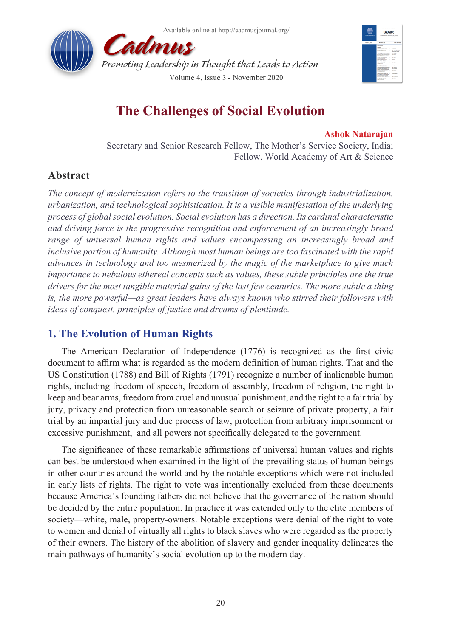



# **The Challenges of Social Evolution**

#### **Ashok Natarajan**

Secretary and Senior Research Fellow, The Mother's Service Society, India; Fellow, World Academy of Art & Science

# **Abstract**

*The concept of modernization refers to the transition of societies through industrialization, urbanization, and technological sophistication. It is a visible manifestation of the underlying process of global social evolution. Social evolution has a direction. Its cardinal characteristic and driving force is the progressive recognition and enforcement of an increasingly broad range of universal human rights and values encompassing an increasingly broad and inclusive portion of humanity. Although most human beings are too fascinated with the rapid advances in technology and too mesmerized by the magic of the marketplace to give much importance to nebulous ethereal concepts such as values, these subtle principles are the true drivers for the most tangible material gains of the last few centuries. The more subtle a thing is, the more powerful—as great leaders have always known who stirred their followers with ideas of conquest, principles of justice and dreams of plentitude.*

# **1. The Evolution of Human Rights**

The American Declaration of Independence (1776) is recognized as the first civic document to affirm what is regarded as the modern definition of human rights. That and the US Constitution (1788) and Bill of Rights (1791) recognize a number of inalienable human rights, including freedom of speech, freedom of assembly, freedom of religion, the right to keep and bear arms, freedom from cruel and unusual punishment, and the right to a fair trial by jury, privacy and protection from unreasonable search or seizure of private property, a fair trial by an impartial jury and due process of law, protection from arbitrary imprisonment or excessive punishment, and all powers not specifically delegated to the government.

The significance of these remarkable affirmations of universal human values and rights can best be understood when examined in the light of the prevailing status of human beings in other countries around the world and by the notable exceptions which were not included in early lists of rights. The right to vote was intentionally excluded from these documents because America's founding fathers did not believe that the governance of the nation should be decided by the entire population. In practice it was extended only to the elite members of society—white, male, property-owners. Notable exceptions were denial of the right to vote to women and denial of virtually all rights to black slaves who were regarded as the property of their owners. The history of the abolition of slavery and gender inequality delineates the main pathways of humanity's social evolution up to the modern day.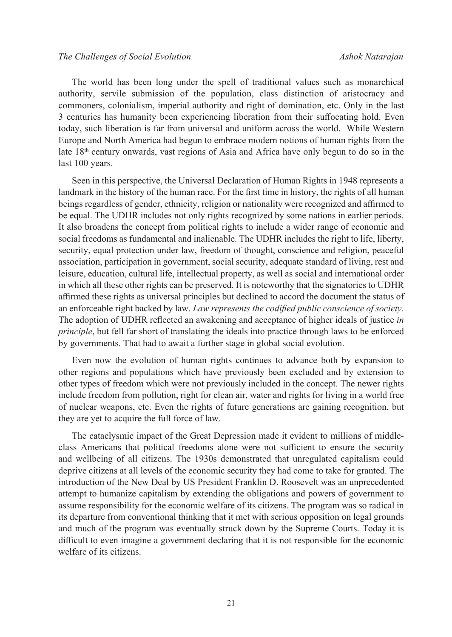The world has been long under the spell of traditional values such as monarchical authority, servile submission of the population, class distinction of aristocracy and commoners, colonialism, imperial authority and right of domination, etc. Only in the last 3 centuries has humanity been experiencing liberation from their suffocating hold. Even today, such liberation is far from universal and uniform across the world. While Western Europe and North America had begun to embrace modern notions of human rights from the late  $18<sup>th</sup>$  century onwards, vast regions of Asia and Africa have only begun to do so in the last 100 years.

Seen in this perspective, the Universal Declaration of Human Rights in 1948 represents a landmark in the history of the human race. For the first time in history, the rights of all human beings regardless of gender, ethnicity, religion or nationality were recognized and affirmed to be equal. The UDHR includes not only rights recognized by some nations in earlier periods. It also broadens the concept from political rights to include a wider range of economic and social freedoms as fundamental and inalienable. The UDHR includes the right to life, liberty, security, equal protection under law, freedom of thought, conscience and religion, peaceful association, participation in government, social security, adequate standard of living, rest and leisure, education, cultural life, intellectual property, as well as social and international order in which all these other rights can be preserved. It is noteworthy that the signatories to UDHR affirmed these rights as universal principles but declined to accord the document the status of an enforceable right backed by law. *Law represents the codified public conscience of society.* The adoption of UDHR reflected an awakening and acceptance of higher ideals of justice *in principle*, but fell far short of translating the ideals into practice through laws to be enforced by governments. That had to await a further stage in global social evolution.

Even now the evolution of human rights continues to advance both by expansion to other regions and populations which have previously been excluded and by extension to other types of freedom which were not previously included in the concept. The newer rights include freedom from pollution, right for clean air, water and rights for living in a world free of nuclear weapons, etc. Even the rights of future generations are gaining recognition, but they are yet to acquire the full force of law.

The cataclysmic impact of the Great Depression made it evident to millions of middleclass Americans that political freedoms alone were not sufficient to ensure the security and wellbeing of all citizens. The 1930s demonstrated that unregulated capitalism could deprive citizens at all levels of the economic security they had come to take for granted. The introduction of the New Deal by US President Franklin D. Roosevelt was an unprecedented attempt to humanize capitalism by extending the obligations and powers of government to assume responsibility for the economic welfare of its citizens. The program was so radical in its departure from conventional thinking that it met with serious opposition on legal grounds and much of the program was eventually struck down by the Supreme Courts. Today it is difficult to even imagine a government declaring that it is not responsible for the economic welfare of its citizens.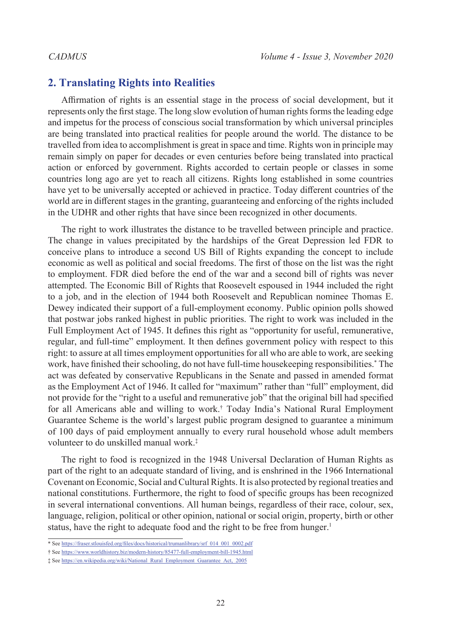#### **2. Translating Rights into Realities**

Affirmation of rights is an essential stage in the process of social development, but it represents only the first stage. The long slow evolution of human rights forms the leading edge and impetus for the process of conscious social transformation by which universal principles are being translated into practical realities for people around the world. The distance to be travelled from idea to accomplishment is great in space and time. Rights won in principle may remain simply on paper for decades or even centuries before being translated into practical action or enforced by government. Rights accorded to certain people or classes in some countries long ago are yet to reach all citizens. Rights long established in some countries have yet to be universally accepted or achieved in practice. Today different countries of the world are in different stages in the granting, guaranteeing and enforcing of the rights included in the UDHR and other rights that have since been recognized in other documents.

The right to work illustrates the distance to be travelled between principle and practice. The change in values precipitated by the hardships of the Great Depression led FDR to conceive plans to introduce a second US Bill of Rights expanding the concept to include economic as well as political and social freedoms. The first of those on the list was the right to employment. FDR died before the end of the war and a second bill of rights was never attempted. The Economic Bill of Rights that Roosevelt espoused in 1944 included the right to a job, and in the election of 1944 both Roosevelt and Republican nominee Thomas E. Dewey indicated their support of a full-employment economy. Public opinion polls showed that postwar jobs ranked highest in public priorities. The right to work was included in the Full Employment Act of 1945. It defines this right as "opportunity for useful, remunerative, regular, and full-time" employment. It then defines government policy with respect to this right: to assure at all times employment opportunities for all who are able to work, are seeking work, have finished their schooling, do not have full-time housekeeping responsibilities.[\\*](#page-2-0) The act was defeated by conservative Republicans in the Senate and passed in amended format as the Employment Act of 1946. It called for "maximum" rather than "full" employment, did not provide for the "right to a useful and remunerative job" that the original bill had specified for all Americans able and willing to work.[†](#page-2-1) Today India's National Rural Employment Guarantee Scheme is the world's largest public program designed to guarantee a minimum of 100 days of paid employment annually to every rural household whose adult members volunteer to do unskilled manual work.[‡](#page-2-2)

The right to food is recognized in the 1948 Universal Declaration of Human Rights as part of the right to an adequate standard of living, and is enshrined in the 1966 International Covenant on Economic, Social and Cultural Rights. It is also protected by regional treaties and national constitutions. Furthermore, the right to food of specific groups has been recognized in several international conventions. All human beings, regardless of their race, colour, sex, language, religion, political or other opinion, national or social origin, property, birth or other status, have the right to adequate food and the right to be free from hunger.<sup>[1](#page-15-0)</sup>

<span id="page-2-1"></span>† See https://www.worldhistory.biz/modern-history/85477-full-employment-bill-1945.html

<span id="page-2-0"></span><sup>\*</sup> See https://fraser.stlouisfed.org/files/docs/historical/trumanlibrary/srf\_014\_001\_0002.pdf

<span id="page-2-2"></span><sup>‡</sup> See https://en.wikipedia.org/wiki/National\_Rural\_Employment\_Guarantee\_Act,\_2005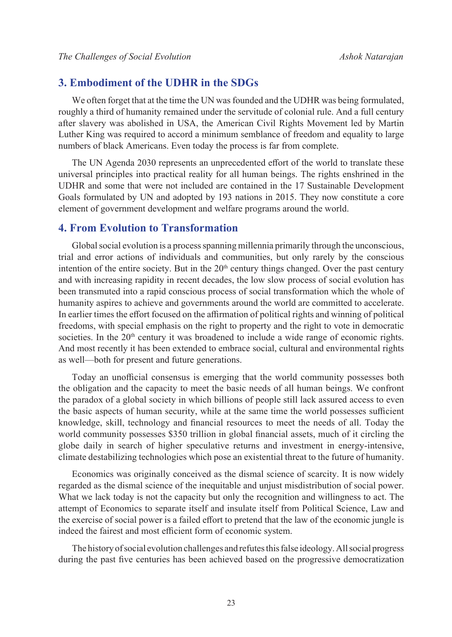### **3. Embodiment of the UDHR in the SDGs**

We often forget that at the time the UN was founded and the UDHR was being formulated, roughly a third of humanity remained under the servitude of colonial rule. And a full century after slavery was abolished in USA, the American Civil Rights Movement led by Martin Luther King was required to accord a minimum semblance of freedom and equality to large numbers of black Americans. Even today the process is far from complete.

The UN Agenda 2030 represents an unprecedented effort of the world to translate these universal principles into practical reality for all human beings. The rights enshrined in the UDHR and some that were not included are contained in the 17 Sustainable Development Goals formulated by UN and adopted by 193 nations in 2015. They now constitute a core element of government development and welfare programs around the world.

#### **4. From Evolution to Transformation**

Global social evolution is a process spanning millennia primarily through the unconscious, trial and error actions of individuals and communities, but only rarely by the conscious intention of the entire society. But in the  $20<sup>th</sup>$  century things changed. Over the past century and with increasing rapidity in recent decades, the low slow process of social evolution has been transmuted into a rapid conscious process of social transformation which the whole of humanity aspires to achieve and governments around the world are committed to accelerate. In earlier times the effort focused on the affirmation of political rights and winning of political freedoms, with special emphasis on the right to property and the right to vote in democratic societies. In the  $20<sup>th</sup>$  century it was broadened to include a wide range of economic rights. And most recently it has been extended to embrace social, cultural and environmental rights as well—both for present and future generations.

Today an unofficial consensus is emerging that the world community possesses both the obligation and the capacity to meet the basic needs of all human beings. We confront the paradox of a global society in which billions of people still lack assured access to even the basic aspects of human security, while at the same time the world possesses sufficient knowledge, skill, technology and financial resources to meet the needs of all. Today the world community possesses \$350 trillion in global financial assets, much of it circling the globe daily in search of higher speculative returns and investment in energy-intensive, climate destabilizing technologies which pose an existential threat to the future of humanity.

Economics was originally conceived as the dismal science of scarcity. It is now widely regarded as the dismal science of the inequitable and unjust misdistribution of social power. What we lack today is not the capacity but only the recognition and willingness to act. The attempt of Economics to separate itself and insulate itself from Political Science, Law and the exercise of social power is a failed effort to pretend that the law of the economic jungle is indeed the fairest and most efficient form of economic system.

The history of social evolution challenges and refutes this false ideology. All social progress during the past five centuries has been achieved based on the progressive democratization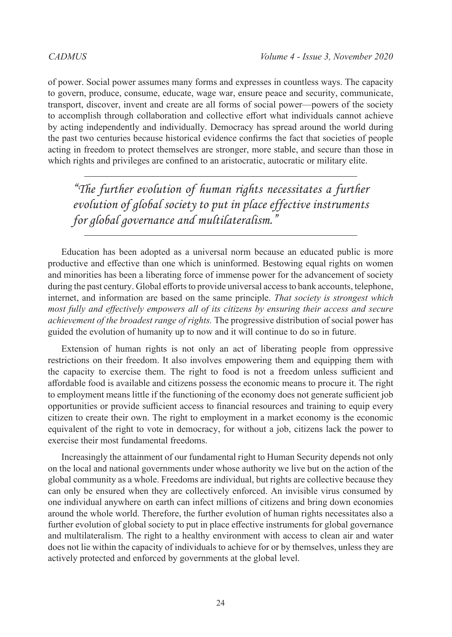of power. Social power assumes many forms and expresses in countless ways. The capacity to govern, produce, consume, educate, wage war, ensure peace and security, communicate, transport, discover, invent and create are all forms of social power—powers of the society to accomplish through collaboration and collective effort what individuals cannot achieve by acting independently and individually. Democracy has spread around the world during the past two centuries because historical evidence confirms the fact that societies of people acting in freedom to protect themselves are stronger, more stable, and secure than those in which rights and privileges are confined to an aristocratic, autocratic or military elite.

*"The further evolution of human rights necessitates a further evolution of global society to put in place effective instruments for global governance and multilateralism."*

Education has been adopted as a universal norm because an educated public is more productive and effective than one which is uninformed. Bestowing equal rights on women and minorities has been a liberating force of immense power for the advancement of society during the past century. Global efforts to provide universal access to bank accounts, telephone, internet, and information are based on the same principle. *That society is strongest which most fully and effectively empowers all of its citizens by ensuring their access and secure achievement of the broadest range of rights.* The progressive distribution of social power has guided the evolution of humanity up to now and it will continue to do so in future.

Extension of human rights is not only an act of liberating people from oppressive restrictions on their freedom. It also involves empowering them and equipping them with the capacity to exercise them. The right to food is not a freedom unless sufficient and affordable food is available and citizens possess the economic means to procure it. The right to employment means little if the functioning of the economy does not generate sufficient job opportunities or provide sufficient access to financial resources and training to equip every citizen to create their own. The right to employment in a market economy is the economic equivalent of the right to vote in democracy, for without a job, citizens lack the power to exercise their most fundamental freedoms.

Increasingly the attainment of our fundamental right to Human Security depends not only on the local and national governments under whose authority we live but on the action of the global community as a whole. Freedoms are individual, but rights are collective because they can only be ensured when they are collectively enforced. An invisible virus consumed by one individual anywhere on earth can infect millions of citizens and bring down economies around the whole world. Therefore, the further evolution of human rights necessitates also a further evolution of global society to put in place effective instruments for global governance and multilateralism. The right to a healthy environment with access to clean air and water does not lie within the capacity of individuals to achieve for or by themselves, unless they are actively protected and enforced by governments at the global level.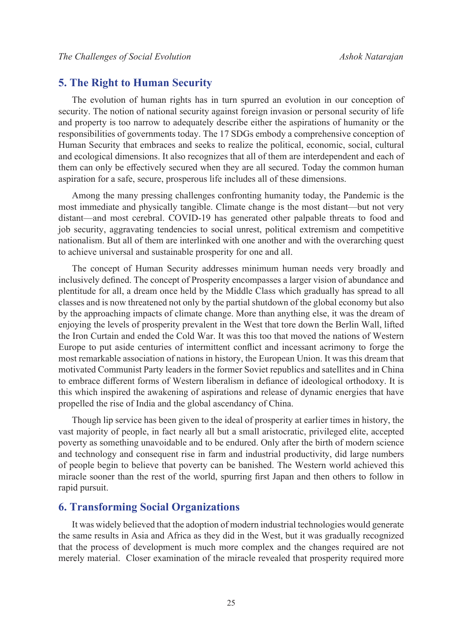### **5. The Right to Human Security**

The evolution of human rights has in turn spurred an evolution in our conception of security. The notion of national security against foreign invasion or personal security of life and property is too narrow to adequately describe either the aspirations of humanity or the responsibilities of governments today. The 17 SDGs embody a comprehensive conception of Human Security that embraces and seeks to realize the political, economic, social, cultural and ecological dimensions. It also recognizes that all of them are interdependent and each of them can only be effectively secured when they are all secured. Today the common human aspiration for a safe, secure, prosperous life includes all of these dimensions.

Among the many pressing challenges confronting humanity today, the Pandemic is the most immediate and physically tangible. Climate change is the most distant—but not very distant—and most cerebral. COVID-19 has generated other palpable threats to food and job security, aggravating tendencies to social unrest, political extremism and competitive nationalism. But all of them are interlinked with one another and with the overarching quest to achieve universal and sustainable prosperity for one and all.

The concept of Human Security addresses minimum human needs very broadly and inclusively defined. The concept of Prosperity encompasses a larger vision of abundance and plentitude for all, a dream once held by the Middle Class which gradually has spread to all classes and is now threatened not only by the partial shutdown of the global economy but also by the approaching impacts of climate change. More than anything else, it was the dream of enjoying the levels of prosperity prevalent in the West that tore down the Berlin Wall, lifted the Iron Curtain and ended the Cold War. It was this too that moved the nations of Western Europe to put aside centuries of intermittent conflict and incessant acrimony to forge the most remarkable association of nations in history, the European Union. It was this dream that motivated Communist Party leaders in the former Soviet republics and satellites and in China to embrace different forms of Western liberalism in defiance of ideological orthodoxy. It is this which inspired the awakening of aspirations and release of dynamic energies that have propelled the rise of India and the global ascendancy of China.

Though lip service has been given to the ideal of prosperity at earlier times in history, the vast majority of people, in fact nearly all but a small aristocratic, privileged elite, accepted poverty as something unavoidable and to be endured. Only after the birth of modern science and technology and consequent rise in farm and industrial productivity, did large numbers of people begin to believe that poverty can be banished. The Western world achieved this miracle sooner than the rest of the world, spurring first Japan and then others to follow in rapid pursuit.

#### **6. Transforming Social Organizations**

It was widely believed that the adoption of modern industrial technologies would generate the same results in Asia and Africa as they did in the West, but it was gradually recognized that the process of development is much more complex and the changes required are not merely material. Closer examination of the miracle revealed that prosperity required more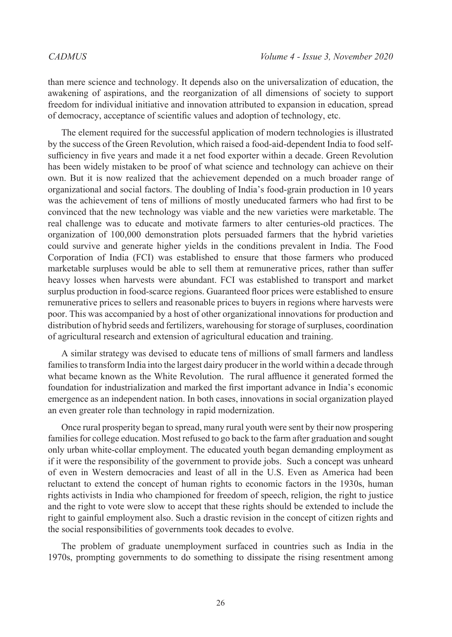than mere science and technology. It depends also on the universalization of education, the awakening of aspirations, and the reorganization of all dimensions of society to support freedom for individual initiative and innovation attributed to expansion in education, spread of democracy, acceptance of scientific values and adoption of technology, etc.

The element required for the successful application of modern technologies is illustrated by the success of the Green Revolution, which raised a food-aid-dependent India to food selfsufficiency in five years and made it a net food exporter within a decade. Green Revolution has been widely mistaken to be proof of what science and technology can achieve on their own. But it is now realized that the achievement depended on a much broader range of organizational and social factors. The doubling of India's food-grain production in 10 years was the achievement of tens of millions of mostly uneducated farmers who had first to be convinced that the new technology was viable and the new varieties were marketable. The real challenge was to educate and motivate farmers to alter centuries-old practices. The organization of 100,000 demonstration plots persuaded farmers that the hybrid varieties could survive and generate higher yields in the conditions prevalent in India. The Food Corporation of India (FCI) was established to ensure that those farmers who produced marketable surpluses would be able to sell them at remunerative prices, rather than suffer heavy losses when harvests were abundant. FCI was established to transport and market surplus production in food-scarce regions. Guaranteed floor prices were established to ensure remunerative prices to sellers and reasonable prices to buyers in regions where harvests were poor. This was accompanied by a host of other organizational innovations for production and distribution of hybrid seeds and fertilizers, warehousing for storage of surpluses, coordination of agricultural research and extension of agricultural education and training.

A similar strategy was devised to educate tens of millions of small farmers and landless families to transform India into the largest dairy producer in the world within a decade through what became known as the White Revolution. The rural affluence it generated formed the foundation for industrialization and marked the first important advance in India's economic emergence as an independent nation. In both cases, innovations in social organization played an even greater role than technology in rapid modernization.

Once rural prosperity began to spread, many rural youth were sent by their now prospering families for college education. Most refused to go back to the farm after graduation and sought only urban white-collar employment. The educated youth began demanding employment as if it were the responsibility of the government to provide jobs. Such a concept was unheard of even in Western democracies and least of all in the U.S. Even as America had been reluctant to extend the concept of human rights to economic factors in the 1930s, human rights activists in India who championed for freedom of speech, religion, the right to justice and the right to vote were slow to accept that these rights should be extended to include the right to gainful employment also. Such a drastic revision in the concept of citizen rights and the social responsibilities of governments took decades to evolve.

The problem of graduate unemployment surfaced in countries such as India in the 1970s, prompting governments to do something to dissipate the rising resentment among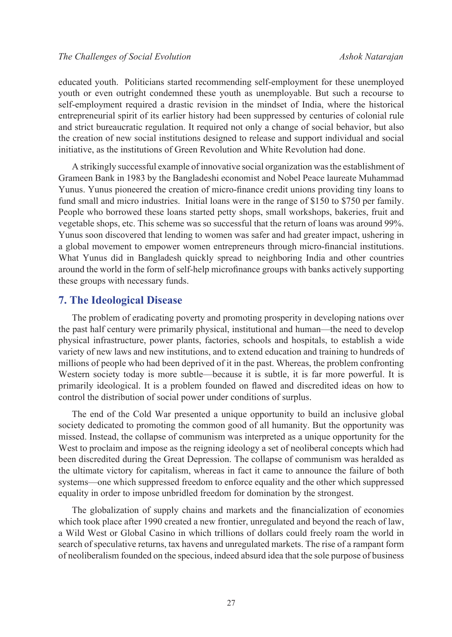educated youth. Politicians started recommending self-employment for these unemployed youth or even outright condemned these youth as unemployable. But such a recourse to self-employment required a drastic revision in the mindset of India, where the historical entrepreneurial spirit of its earlier history had been suppressed by centuries of colonial rule and strict bureaucratic regulation. It required not only a change of social behavior, but also the creation of new social institutions designed to release and support individual and social initiative, as the institutions of Green Revolution and White Revolution had done.

A strikingly successful example of innovative social organization was the establishment of Grameen Bank in 1983 by the Bangladeshi economist and Nobel Peace laureate Muhammad Yunus. Yunus pioneered the creation of micro-finance credit unions providing tiny loans to fund small and micro industries. Initial loans were in the range of \$150 to \$750 per family. People who borrowed these loans started petty shops, small workshops, bakeries, fruit and vegetable shops, etc. This scheme was so successful that the return of loans was around 99%. Yunus soon discovered that lending to women was safer and had greater impact, ushering in a global movement to empower women entrepreneurs through micro-financial institutions. What Yunus did in Bangladesh quickly spread to neighboring India and other countries around the world in the form of self-help microfinance groups with banks actively supporting these groups with necessary funds.

#### **7. The Ideological Disease**

The problem of eradicating poverty and promoting prosperity in developing nations over the past half century were primarily physical, institutional and human—the need to develop physical infrastructure, power plants, factories, schools and hospitals, to establish a wide variety of new laws and new institutions, and to extend education and training to hundreds of millions of people who had been deprived of it in the past. Whereas, the problem confronting Western society today is more subtle—because it is subtle, it is far more powerful. It is primarily ideological. It is a problem founded on flawed and discredited ideas on how to control the distribution of social power under conditions of surplus.

The end of the Cold War presented a unique opportunity to build an inclusive global society dedicated to promoting the common good of all humanity. But the opportunity was missed. Instead, the collapse of communism was interpreted as a unique opportunity for the West to proclaim and impose as the reigning ideology a set of neoliberal concepts which had been discredited during the Great Depression. The collapse of communism was heralded as the ultimate victory for capitalism, whereas in fact it came to announce the failure of both systems—one which suppressed freedom to enforce equality and the other which suppressed equality in order to impose unbridled freedom for domination by the strongest.

The globalization of supply chains and markets and the financialization of economies which took place after 1990 created a new frontier, unregulated and beyond the reach of law, a Wild West or Global Casino in which trillions of dollars could freely roam the world in search of speculative returns, tax havens and unregulated markets. The rise of a rampant form of neoliberalism founded on the specious, indeed absurd idea that the sole purpose of business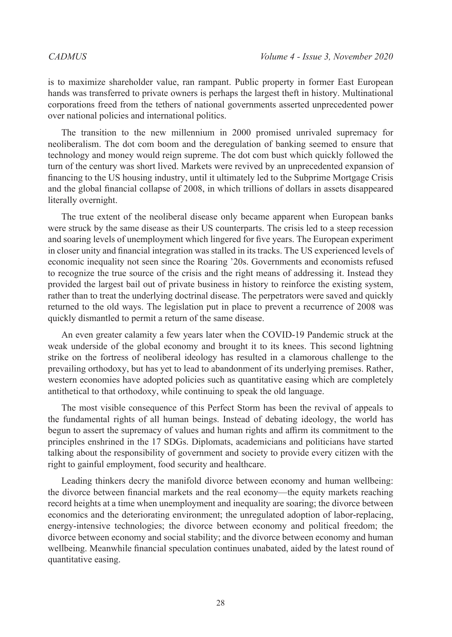is to maximize shareholder value, ran rampant. Public property in former East European hands was transferred to private owners is perhaps the largest theft in history. Multinational corporations freed from the tethers of national governments asserted unprecedented power over national policies and international politics.

The transition to the new millennium in 2000 promised unrivaled supremacy for neoliberalism. The dot com boom and the deregulation of banking seemed to ensure that technology and money would reign supreme. The dot com bust which quickly followed the turn of the century was short lived. Markets were revived by an unprecedented expansion of financing to the US housing industry, until it ultimately led to the Subprime Mortgage Crisis and the global financial collapse of 2008, in which trillions of dollars in assets disappeared literally overnight.

The true extent of the neoliberal disease only became apparent when European banks were struck by the same disease as their US counterparts. The crisis led to a steep recession and soaring levels of unemployment which lingered for five years. The European experiment in closer unity and financial integration was stalled in its tracks. The US experienced levels of economic inequality not seen since the Roaring '20s. Governments and economists refused to recognize the true source of the crisis and the right means of addressing it. Instead they provided the largest bail out of private business in history to reinforce the existing system, rather than to treat the underlying doctrinal disease. The perpetrators were saved and quickly returned to the old ways. The legislation put in place to prevent a recurrence of 2008 was quickly dismantled to permit a return of the same disease.

An even greater calamity a few years later when the COVID-19 Pandemic struck at the weak underside of the global economy and brought it to its knees. This second lightning strike on the fortress of neoliberal ideology has resulted in a clamorous challenge to the prevailing orthodoxy, but has yet to lead to abandonment of its underlying premises. Rather, western economies have adopted policies such as quantitative easing which are completely antithetical to that orthodoxy, while continuing to speak the old language.

The most visible consequence of this Perfect Storm has been the revival of appeals to the fundamental rights of all human beings. Instead of debating ideology, the world has begun to assert the supremacy of values and human rights and affirm its commitment to the principles enshrined in the 17 SDGs. Diplomats, academicians and politicians have started talking about the responsibility of government and society to provide every citizen with the right to gainful employment, food security and healthcare.

Leading thinkers decry the manifold divorce between economy and human wellbeing: the divorce between financial markets and the real economy—the equity markets reaching record heights at a time when unemployment and inequality are soaring; the divorce between economics and the deteriorating environment; the unregulated adoption of labor-replacing, energy-intensive technologies; the divorce between economy and political freedom; the divorce between economy and social stability; and the divorce between economy and human wellbeing. Meanwhile financial speculation continues unabated, aided by the latest round of quantitative easing.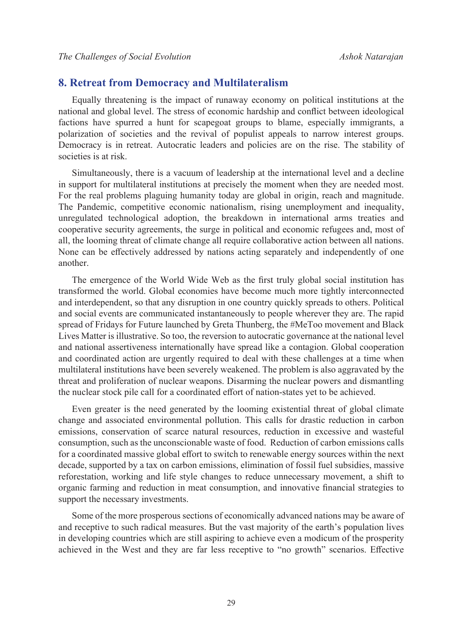#### **8. Retreat from Democracy and Multilateralism**

Equally threatening is the impact of runaway economy on political institutions at the national and global level. The stress of economic hardship and conflict between ideological factions have spurred a hunt for scapegoat groups to blame, especially immigrants, a polarization of societies and the revival of populist appeals to narrow interest groups. Democracy is in retreat. Autocratic leaders and policies are on the rise. The stability of societies is at risk.

Simultaneously, there is a vacuum of leadership at the international level and a decline in support for multilateral institutions at precisely the moment when they are needed most. For the real problems plaguing humanity today are global in origin, reach and magnitude. The Pandemic, competitive economic nationalism, rising unemployment and inequality, unregulated technological adoption, the breakdown in international arms treaties and cooperative security agreements, the surge in political and economic refugees and, most of all, the looming threat of climate change all require collaborative action between all nations. None can be effectively addressed by nations acting separately and independently of one another.

The emergence of the World Wide Web as the first truly global social institution has transformed the world. Global economies have become much more tightly interconnected and interdependent, so that any disruption in one country quickly spreads to others. Political and social events are communicated instantaneously to people wherever they are. The rapid spread of Fridays for Future launched by Greta Thunberg, the #MeToo movement and Black Lives Matter is illustrative. So too, the reversion to autocratic governance at the national level and national assertiveness internationally have spread like a contagion. Global cooperation and coordinated action are urgently required to deal with these challenges at a time when multilateral institutions have been severely weakened. The problem is also aggravated by the threat and proliferation of nuclear weapons. Disarming the nuclear powers and dismantling the nuclear stock pile call for a coordinated effort of nation-states yet to be achieved.

Even greater is the need generated by the looming existential threat of global climate change and associated environmental pollution. This calls for drastic reduction in carbon emissions, conservation of scarce natural resources, reduction in excessive and wasteful consumption, such as the unconscionable waste of food. Reduction of carbon emissions calls for a coordinated massive global effort to switch to renewable energy sources within the next decade, supported by a tax on carbon emissions, elimination of fossil fuel subsidies, massive reforestation, working and life style changes to reduce unnecessary movement, a shift to organic farming and reduction in meat consumption, and innovative financial strategies to support the necessary investments.

Some of the more prosperous sections of economically advanced nations may be aware of and receptive to such radical measures. But the vast majority of the earth's population lives in developing countries which are still aspiring to achieve even a modicum of the prosperity achieved in the West and they are far less receptive to "no growth" scenarios. Effective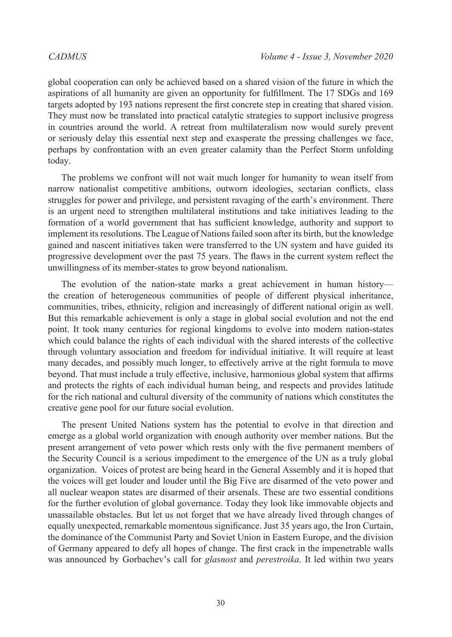global cooperation can only be achieved based on a shared vision of the future in which the aspirations of all humanity are given an opportunity for fulfillment. The 17 SDGs and 169 targets adopted by 193 nations represent the first concrete step in creating that shared vision. They must now be translated into practical catalytic strategies to support inclusive progress in countries around the world. A retreat from multilateralism now would surely prevent or seriously delay this essential next step and exasperate the pressing challenges we face, perhaps by confrontation with an even greater calamity than the Perfect Storm unfolding today.

The problems we confront will not wait much longer for humanity to wean itself from narrow nationalist competitive ambitions, outworn ideologies, sectarian conflicts, class struggles for power and privilege, and persistent ravaging of the earth's environment. There is an urgent need to strengthen multilateral institutions and take initiatives leading to the formation of a world government that has sufficient knowledge, authority and support to implement its resolutions. The League of Nations failed soon after its birth, but the knowledge gained and nascent initiatives taken were transferred to the UN system and have guided its progressive development over the past 75 years. The flaws in the current system reflect the unwillingness of its member-states to grow beyond nationalism.

The evolution of the nation-state marks a great achievement in human history the creation of heterogeneous communities of people of different physical inheritance, communities, tribes, ethnicity, religion and increasingly of different national origin as well. But this remarkable achievement is only a stage in global social evolution and not the end point. It took many centuries for regional kingdoms to evolve into modern nation-states which could balance the rights of each individual with the shared interests of the collective through voluntary association and freedom for individual initiative. It will require at least many decades, and possibly much longer, to effectively arrive at the right formula to move beyond. That must include a truly effective, inclusive, harmonious global system that affirms and protects the rights of each individual human being, and respects and provides latitude for the rich national and cultural diversity of the community of nations which constitutes the creative gene pool for our future social evolution.

The present United Nations system has the potential to evolve in that direction and emerge as a global world organization with enough authority over member nations. But the present arrangement of veto power which rests only with the five permanent members of the Security Council is a serious impediment to the emergence of the UN as a truly global organization. Voices of protest are being heard in the General Assembly and it is hoped that the voices will get louder and louder until the Big Five are disarmed of the veto power and all nuclear weapon states are disarmed of their arsenals. These are two essential conditions for the further evolution of global governance. Today they look like immovable objects and unassailable obstacles. But let us not forget that we have already lived through changes of equally unexpected, remarkable momentous significance. Just 35 years ago, the Iron Curtain, the dominance of the Communist Party and Soviet Union in Eastern Europe, and the division of Germany appeared to defy all hopes of change. The first crack in the impenetrable walls was announced by Gorbachev's call for *glasnost* and *perestroika*. It led within two years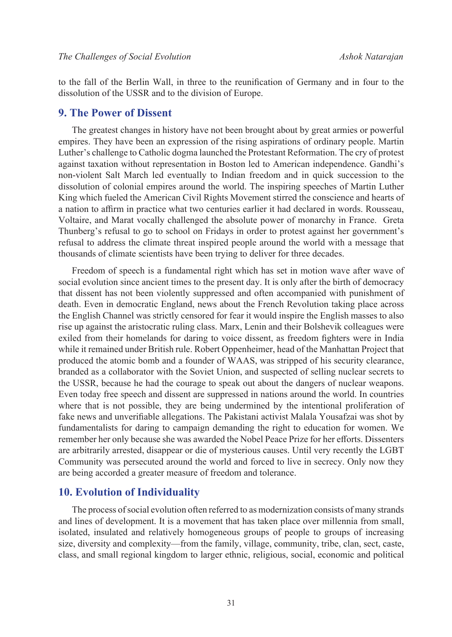to the fall of the Berlin Wall, in three to the reunification of Germany and in four to the dissolution of the USSR and to the division of Europe.

#### **9. The Power of Dissent**

The greatest changes in history have not been brought about by great armies or powerful empires. They have been an expression of the rising aspirations of ordinary people. Martin Luther's challenge to Catholic dogma launched the Protestant Reformation. The cry of protest against taxation without representation in Boston led to American independence. Gandhi's non-violent Salt March led eventually to Indian freedom and in quick succession to the dissolution of colonial empires around the world. The inspiring speeches of Martin Luther King which fueled the American Civil Rights Movement stirred the conscience and hearts of a nation to affirm in practice what two centuries earlier it had declared in words. Rousseau, Voltaire, and Marat vocally challenged the absolute power of monarchy in France. Greta Thunberg's refusal to go to school on Fridays in order to protest against her government's refusal to address the climate threat inspired people around the world with a message that thousands of climate scientists have been trying to deliver for three decades.

Freedom of speech is a fundamental right which has set in motion wave after wave of social evolution since ancient times to the present day. It is only after the birth of democracy that dissent has not been violently suppressed and often accompanied with punishment of death. Even in democratic England, news about the French Revolution taking place across the English Channel was strictly censored for fear it would inspire the English masses to also rise up against the aristocratic ruling class. Marx, Lenin and their Bolshevik colleagues were exiled from their homelands for daring to voice dissent, as freedom fighters were in India while it remained under British rule. Robert Oppenheimer, head of the Manhattan Project that produced the atomic bomb and a founder of WAAS, was stripped of his security clearance, branded as a collaborator with the Soviet Union, and suspected of selling nuclear secrets to the USSR, because he had the courage to speak out about the dangers of nuclear weapons. Even today free speech and dissent are suppressed in nations around the world. In countries where that is not possible, they are being undermined by the intentional proliferation of fake news and unverifiable allegations. The Pakistani activist Malala Yousafzai was shot by fundamentalists for daring to campaign demanding the right to education for women. We remember her only because she was awarded the Nobel Peace Prize for her efforts. Dissenters are arbitrarily arrested, disappear or die of mysterious causes. Until very recently the LGBT Community was persecuted around the world and forced to live in secrecy. Only now they are being accorded a greater measure of freedom and tolerance.

#### **10. Evolution of Individuality**

The process of social evolution often referred to as modernization consists of many strands and lines of development. It is a movement that has taken place over millennia from small, isolated, insulated and relatively homogeneous groups of people to groups of increasing size, diversity and complexity—from the family, village, community, tribe, clan, sect, caste, class, and small regional kingdom to larger ethnic, religious, social, economic and political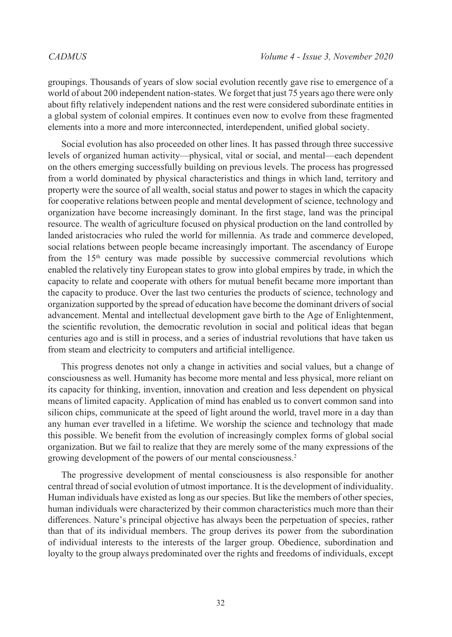groupings. Thousands of years of slow social evolution recently gave rise to emergence of a world of about 200 independent nation-states. We forget that just 75 years ago there were only about fifty relatively independent nations and the rest were considered subordinate entities in a global system of colonial empires. It continues even now to evolve from these fragmented elements into a more and more interconnected, interdependent, unified global society.

Social evolution has also proceeded on other lines. It has passed through three successive levels of organized human activity—physical, vital or social, and mental—each dependent on the others emerging successfully building on previous levels. The process has progressed from a world dominated by physical characteristics and things in which land, territory and property were the source of all wealth, social status and power to stages in which the capacity for cooperative relations between people and mental development of science, technology and organization have become increasingly dominant. In the first stage, land was the principal resource. The wealth of agriculture focused on physical production on the land controlled by landed aristocracies who ruled the world for millennia. As trade and commerce developed, social relations between people became increasingly important. The ascendancy of Europe from the  $15<sup>th</sup>$  century was made possible by successive commercial revolutions which enabled the relatively tiny European states to grow into global empires by trade, in which the capacity to relate and cooperate with others for mutual benefit became more important than the capacity to produce. Over the last two centuries the products of science, technology and organization supported by the spread of education have become the dominant drivers of social advancement. Mental and intellectual development gave birth to the Age of Enlightenment, the scientific revolution, the democratic revolution in social and political ideas that began centuries ago and is still in process, and a series of industrial revolutions that have taken us from steam and electricity to computers and artificial intelligence.

This progress denotes not only a change in activities and social values, but a change of consciousness as well. Humanity has become more mental and less physical, more reliant on its capacity for thinking, invention, innovation and creation and less dependent on physical means of limited capacity. Application of mind has enabled us to convert common sand into silicon chips, communicate at the speed of light around the world, travel more in a day than any human ever travelled in a lifetime. We worship the science and technology that made this possible. We benefit from the evolution of increasingly complex forms of global social organization. But we fail to realize that they are merely some of the many expressions of the growing development of the powers of our mental consciousness.[2](#page-15-1)

The progressive development of mental consciousness is also responsible for another central thread of social evolution of utmost importance. It is the development of individuality. Human individuals have existed as long as our species. But like the members of other species, human individuals were characterized by their common characteristics much more than their differences. Nature's principal objective has always been the perpetuation of species, rather than that of its individual members. The group derives its power from the subordination of individual interests to the interests of the larger group. Obedience, subordination and loyalty to the group always predominated over the rights and freedoms of individuals, except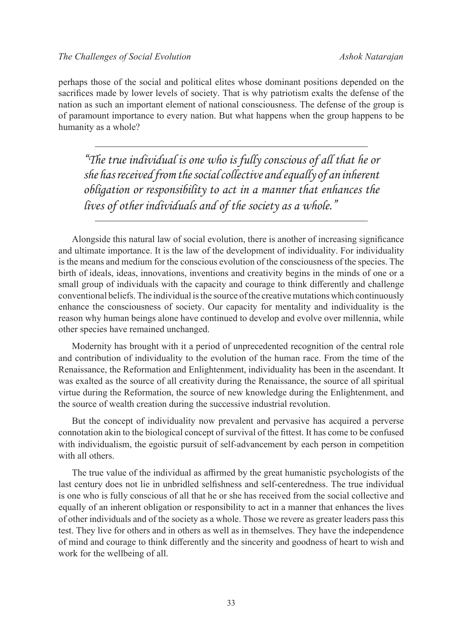perhaps those of the social and political elites whose dominant positions depended on the sacrifices made by lower levels of society. That is why patriotism exalts the defense of the nation as such an important element of national consciousness. The defense of the group is of paramount importance to every nation. But what happens when the group happens to be humanity as a whole?

*"The true individual is one who is fully conscious of all that he or she has received from the social collective and equally of an inherent obligation or responsibility to act in a manner that enhances the lives of other individuals and of the society as a whole."*

Alongside this natural law of social evolution, there is another of increasing significance and ultimate importance. It is the law of the development of individuality. For individuality is the means and medium for the conscious evolution of the consciousness of the species. The birth of ideals, ideas, innovations, inventions and creativity begins in the minds of one or a small group of individuals with the capacity and courage to think differently and challenge conventional beliefs. The individual is the source of the creative mutations which continuously enhance the consciousness of society. Our capacity for mentality and individuality is the reason why human beings alone have continued to develop and evolve over millennia, while other species have remained unchanged.

Modernity has brought with it a period of unprecedented recognition of the central role and contribution of individuality to the evolution of the human race. From the time of the Renaissance, the Reformation and Enlightenment, individuality has been in the ascendant. It was exalted as the source of all creativity during the Renaissance, the source of all spiritual virtue during the Reformation, the source of new knowledge during the Enlightenment, and the source of wealth creation during the successive industrial revolution.

But the concept of individuality now prevalent and pervasive has acquired a perverse connotation akin to the biological concept of survival of the fittest. It has come to be confused with individualism, the egoistic pursuit of self-advancement by each person in competition with all others.

The true value of the individual as affirmed by the great humanistic psychologists of the last century does not lie in unbridled selfishness and self-centeredness. The true individual is one who is fully conscious of all that he or she has received from the social collective and equally of an inherent obligation or responsibility to act in a manner that enhances the lives of other individuals and of the society as a whole. Those we revere as greater leaders pass this test. They live for others and in others as well as in themselves. They have the independence of mind and courage to think differently and the sincerity and goodness of heart to wish and work for the wellbeing of all.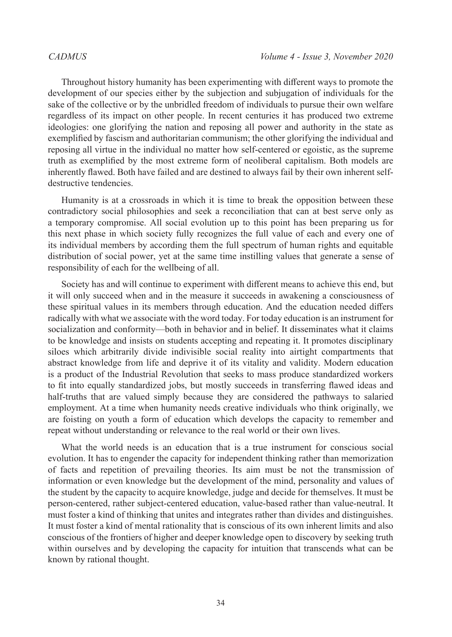Throughout history humanity has been experimenting with different ways to promote the development of our species either by the subjection and subjugation of individuals for the sake of the collective or by the unbridled freedom of individuals to pursue their own welfare regardless of its impact on other people. In recent centuries it has produced two extreme ideologies: one glorifying the nation and reposing all power and authority in the state as exemplified by fascism and authoritarian communism; the other glorifying the individual and reposing all virtue in the individual no matter how self-centered or egoistic, as the supreme truth as exemplified by the most extreme form of neoliberal capitalism. Both models are inherently flawed. Both have failed and are destined to always fail by their own inherent selfdestructive tendencies.

Humanity is at a crossroads in which it is time to break the opposition between these contradictory social philosophies and seek a reconciliation that can at best serve only as a temporary compromise. All social evolution up to this point has been preparing us for this next phase in which society fully recognizes the full value of each and every one of its individual members by according them the full spectrum of human rights and equitable distribution of social power, yet at the same time instilling values that generate a sense of responsibility of each for the wellbeing of all.

Society has and will continue to experiment with different means to achieve this end, but it will only succeed when and in the measure it succeeds in awakening a consciousness of these spiritual values in its members through education. And the education needed differs radically with what we associate with the word today. For today education is an instrument for socialization and conformity—both in behavior and in belief. It disseminates what it claims to be knowledge and insists on students accepting and repeating it. It promotes disciplinary siloes which arbitrarily divide indivisible social reality into airtight compartments that abstract knowledge from life and deprive it of its vitality and validity. Modern education is a product of the Industrial Revolution that seeks to mass produce standardized workers to fit into equally standardized jobs, but mostly succeeds in transferring flawed ideas and half-truths that are valued simply because they are considered the pathways to salaried employment. At a time when humanity needs creative individuals who think originally, we are foisting on youth a form of education which develops the capacity to remember and repeat without understanding or relevance to the real world or their own lives.

What the world needs is an education that is a true instrument for conscious social evolution. It has to engender the capacity for independent thinking rather than memorization of facts and repetition of prevailing theories. Its aim must be not the transmission of information or even knowledge but the development of the mind, personality and values of the student by the capacity to acquire knowledge, judge and decide for themselves. It must be person-centered, rather subject-centered education, value-based rather than value-neutral. It must foster a kind of thinking that unites and integrates rather than divides and distinguishes. It must foster a kind of mental rationality that is conscious of its own inherent limits and also conscious of the frontiers of higher and deeper knowledge open to discovery by seeking truth within ourselves and by developing the capacity for intuition that transcends what can be known by rational thought.